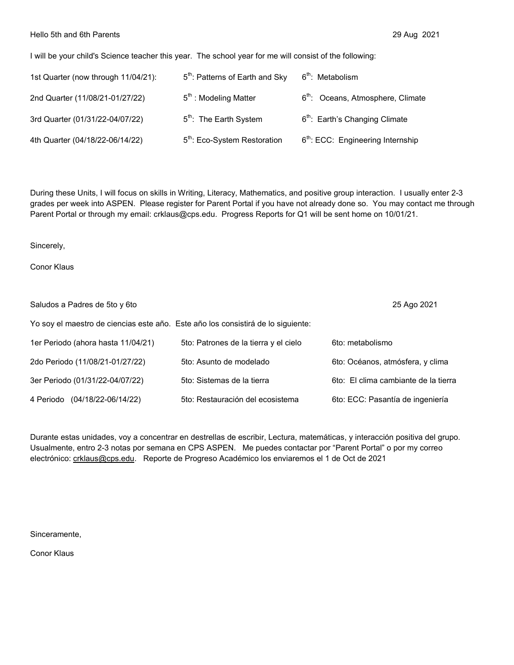## Hello 5th and 6th Parents 29 Aug 2021

I will be your child's Science teacher this year. The school year for me will consist of the following:

| 1st Quarter (now through 11/04/21): | 5 <sup>th</sup> : Patterns of Earth and Sky | $6th$ : Metabolism                            |
|-------------------------------------|---------------------------------------------|-----------------------------------------------|
| 2nd Quarter (11/08/21-01/27/22)     | $5th$ : Modeling Matter                     | 6 <sup>th</sup> : Oceans, Atmosphere, Climate |
| 3rd Quarter (01/31/22-04/07/22)     | 5 <sup>th</sup> : The Earth System          | 6 <sup>th</sup> : Earth's Changing Climate    |
| 4th Quarter (04/18/22-06/14/22)     | 5 <sup>th</sup> : Eco-System Restoration    | 6 <sup>th</sup> : ECC: Engineering Internship |

During these Units, I will focus on skills in Writing, Literacy, Mathematics, and positive group interaction. I usually enter 2-3 grades per week into ASPEN. Please register for Parent Portal if you have not already done so. You may contact me through Parent Portal or through my email: crklaus@cps.edu. Progress Reports for Q1 will be sent home on 10/01/21.

Sincerely,

Conor Klaus

| Saludos a Padres de 5to y 6to      | 25 Ago 2021                                                                      |                                      |
|------------------------------------|----------------------------------------------------------------------------------|--------------------------------------|
|                                    | Yo soy el maestro de ciencias este año. Este año los consistirá de lo siguiente: |                                      |
| 1er Periodo (ahora hasta 11/04/21) | 5to: Patrones de la tierra y el cielo                                            | 6to: metabolismo                     |
| 2do Periodo (11/08/21-01/27/22)    | 5to: Asunto de modelado                                                          | 6to: Océanos, atmósfera, y clima     |
| 3er Periodo (01/31/22-04/07/22)    | 5to: Sistemas de la tierra                                                       | 6to: El clima cambiante de la tierra |
| 4 Periodo (04/18/22-06/14/22)      | 5to: Restauración del ecosistema                                                 | 6to: ECC: Pasantía de ingeniería     |

Durante estas unidades, voy a concentrar en destrellas de escribir, Lectura, matemáticas, y interacción positiva del grupo. Usualmente, entro 2-3 notas por semana en CPS ASPEN. Me puedes contactar por "Parent Portal" o por my correo electrónico: crklaus@cps.edu. Reporte de Progreso Académico los enviaremos el 1 de Oct de 2021

Sinceramente,

Conor Klaus